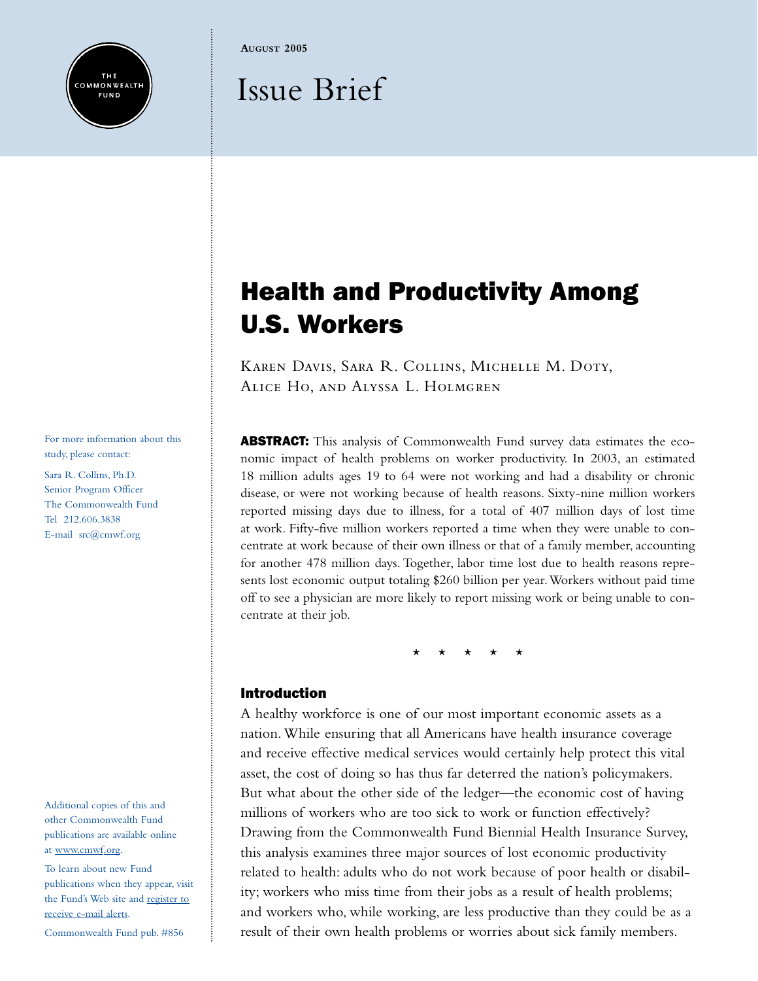**AUGUST 2005**

# Issue Brief

For more information about this study, please contact:

THE **COMMONWEALTH FUND** 

Sara R. Collins, Ph.D. Senior Program Officer The Commonwealth Fund Tel 212.606.3838 E-mail src@cmwf.org

Additional copies of this and other Commonwealth Fund publications are available online at [www.cmwf.org.](http://www.commonwealthfund.org)

To learn about new Fund publications when they appear, visit the Fund's Web site an[d register to](http://www.cmwf.org/emailalert/emailalert.htm) [receive e-mail alerts.](http://www.cmwf.org/emailalert/emailalert.htm)

Commonwealth Fund pub. #856

# Health and Productivity Among U.S. Workers

Karen Davis, Sara R. Collins, Michelle M. Doty, Alice Ho, and Alyssa L. Holmgren

ABSTRACT: This analysis of Commonwealth Fund survey data estimates the economic impact of health problems on worker productivity. In 2003, an estimated 18 million adults ages 19 to 64 were not working and had a disability or chronic disease, or were not working because of health reasons. Sixty-nine million workers reported missing days due to illness, for a total of 407 million days of lost time at work. Fifty-five million workers reported a time when they were unable to concentrate at work because of their own illness or that of a family member, accounting for another 478 million days. Together, labor time lost due to health reasons represents lost economic output totaling \$260 billion per year.Workers without paid time off to see a physician are more likely to report missing work or being unable to concentrate at their job.

\* \* \* \* \*

# Introduction

A healthy workforce is one of our most important economic assets as a nation.While ensuring that all Americans have health insurance coverage and receive effective medical services would certainly help protect this vital asset, the cost of doing so has thus far deterred the nation's policymakers. But what about the other side of the ledger—the economic cost of having millions of workers who are too sick to work or function effectively? Drawing from the Commonwealth Fund Biennial Health Insurance Survey, this analysis examines three major sources of lost economic productivity related to health: adults who do not work because of poor health or disability; workers who miss time from their jobs as a result of health problems; and workers who, while working, are less productive than they could be as a result of their own health problems or worries about sick family members.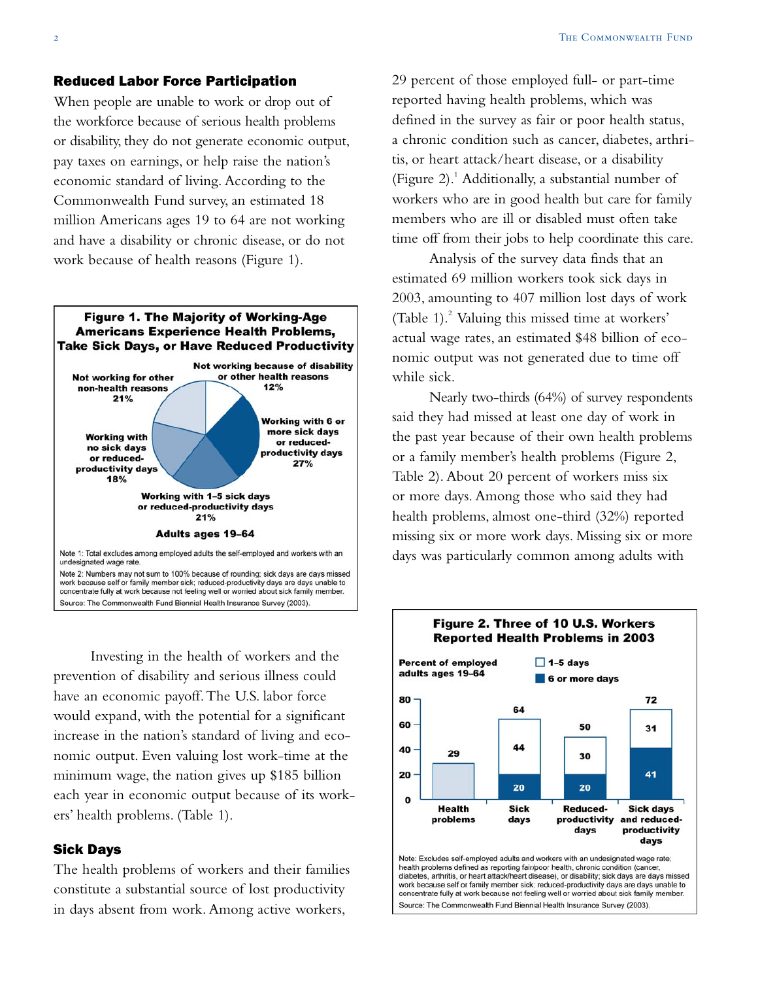# Reduced Labor Force Participation

When people are unable to work or drop out of the workforce because of serious health problems or disability, they do not generate economic output, pay taxes on earnings, or help raise the nation's economic standard of living. According to the Commonwealth Fund survey, an estimated 18 million Americans ages 19 to 64 are not working and have a disability or chronic disease, or do not work because of health reasons (Figure 1).



Investing in the health of workers and the prevention of disability and serious illness could have an economic payoff.The U.S. labor force would expand, with the potential for a significant increase in the nation's standard of living and economic output. Even valuing lost work-time at the minimum wage, the nation gives up \$185 billion each year in economic output because of its workers' health problems. (Table 1).

#### Sick Days

The health problems of workers and their families constitute a substantial source of lost productivity in days absent from work. Among active workers,

29 percent of those employed full- or part-time reported having health problems, which was defined in the survey as fair or poor health status, a chronic condition such as cancer, diabetes, arthritis, or heart attack/heart disease, or a disability (Figure 2).<sup>1</sup> Additionally, a substantial number of workers who are in good health but care for family members who are ill or disabled must often take time off from their jobs to help coordinate this care.

Analysis of the survey data finds that an estimated 69 million workers took sick days in 2003, amounting to 407 million lost days of work (Table 1).<sup>2</sup> Valuing this missed time at workers' actual wage rates, an estimated \$48 billion of economic output was not generated due to time off while sick.

Nearly two-thirds (64%) of survey respondents said they had missed at least one day of work in the past year because of their own health problems or a family member's health problems (Figure 2, Table 2). About 20 percent of workers miss six or more days. Among those who said they had health problems, almost one-third (32%) reported missing six or more work days. Missing six or more days was particularly common among adults with



diabetes, arthritis, or heart attack/heart disease), or disability; sick days are days missed work because self or family member sick; reduced-productivity days are days unable to concentrate fully at work because not feeling well or worried about sick family member. Source: The Commonwealth Fund Biennial Health Insurance Survey (2003).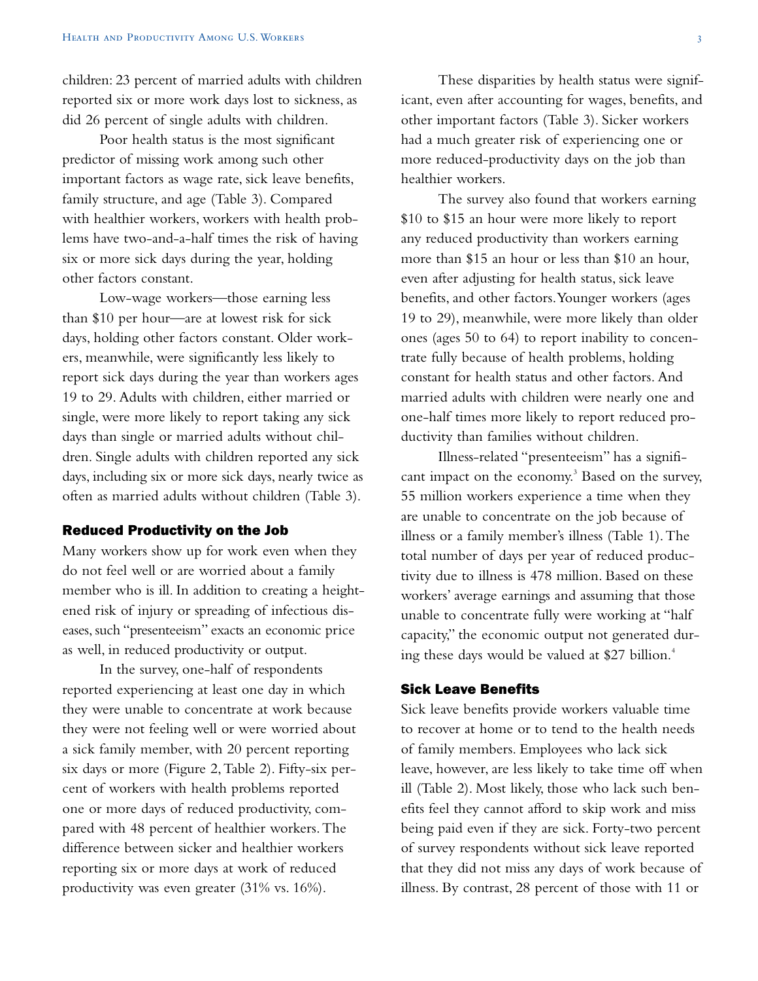children: 23 percent of married adults with children reported six or more work days lost to sickness, as did 26 percent of single adults with children.

Poor health status is the most significant predictor of missing work among such other important factors as wage rate, sick leave benefits, family structure, and age (Table 3). Compared with healthier workers, workers with health problems have two-and-a-half times the risk of having six or more sick days during the year, holding other factors constant.

Low-wage workers—those earning less than \$10 per hour—are at lowest risk for sick days, holding other factors constant. Older workers, meanwhile, were significantly less likely to report sick days during the year than workers ages 19 to 29. Adults with children, either married or single, were more likely to report taking any sick days than single or married adults without children. Single adults with children reported any sick days, including six or more sick days, nearly twice as often as married adults without children (Table 3).

#### Reduced Productivity on the Job

Many workers show up for work even when they do not feel well or are worried about a family member who is ill. In addition to creating a heightened risk of injury or spreading of infectious diseases, such "presenteeism" exacts an economic price as well, in reduced productivity or output.

In the survey, one-half of respondents reported experiencing at least one day in which they were unable to concentrate at work because they were not feeling well or were worried about a sick family member, with 20 percent reporting six days or more (Figure 2,Table 2). Fifty-six percent of workers with health problems reported one or more days of reduced productivity, compared with 48 percent of healthier workers.The difference between sicker and healthier workers reporting six or more days at work of reduced productivity was even greater (31% vs. 16%).

These disparities by health status were significant, even after accounting for wages, benefits, and other important factors (Table 3). Sicker workers had a much greater risk of experiencing one or more reduced-productivity days on the job than healthier workers.

The survey also found that workers earning \$10 to \$15 an hour were more likely to report any reduced productivity than workers earning more than \$15 an hour or less than \$10 an hour, even after adjusting for health status, sick leave benefits, and other factors.Younger workers (ages 19 to 29), meanwhile, were more likely than older ones (ages 50 to 64) to report inability to concentrate fully because of health problems, holding constant for health status and other factors. And married adults with children were nearly one and one-half times more likely to report reduced productivity than families without children.

Illness-related "presenteeism" has a significant impact on the economy.<sup>3</sup> Based on the survey, 55 million workers experience a time when they are unable to concentrate on the job because of illness or a family member's illness (Table 1).The total number of days per year of reduced productivity due to illness is 478 million. Based on these workers' average earnings and assuming that those unable to concentrate fully were working at "half capacity," the economic output not generated during these days would be valued at \$27 billion. $4$ 

#### Sick Leave Benefits

Sick leave benefits provide workers valuable time to recover at home or to tend to the health needs of family members. Employees who lack sick leave, however, are less likely to take time off when ill (Table 2). Most likely, those who lack such benefits feel they cannot afford to skip work and miss being paid even if they are sick. Forty-two percent of survey respondents without sick leave reported that they did not miss any days of work because of illness. By contrast, 28 percent of those with 11 or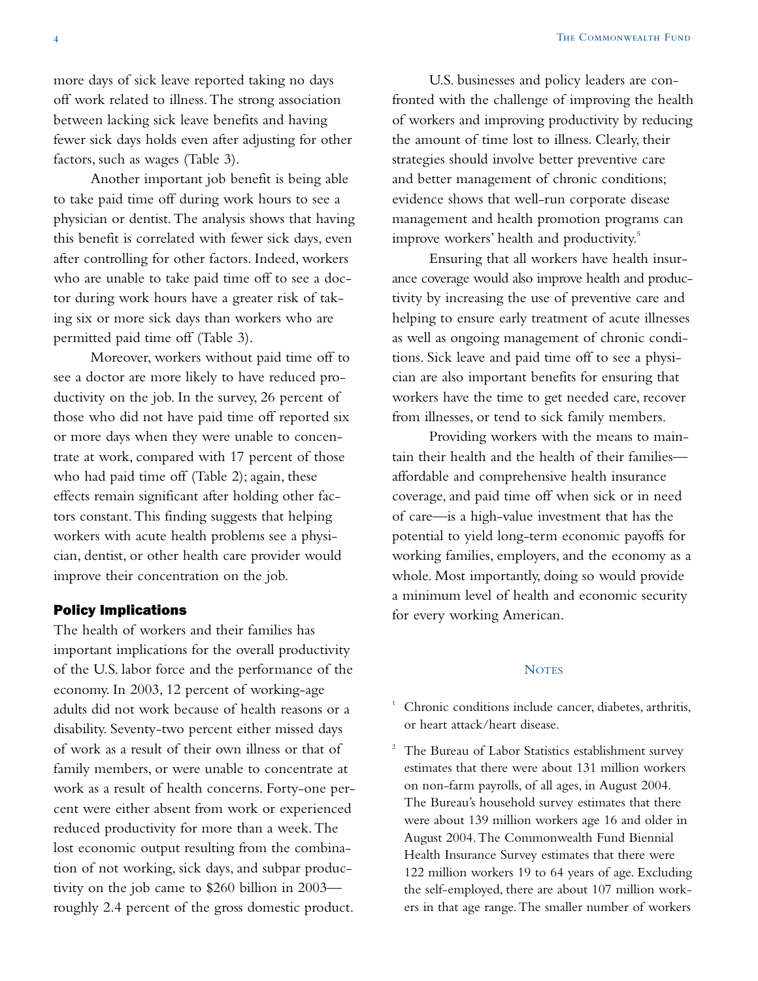more days of sick leave reported taking no days off work related to illness.The strong association between lacking sick leave benefits and having fewer sick days holds even after adjusting for other factors, such as wages (Table 3).

Another important job benefit is being able to take paid time off during work hours to see a physician or dentist.The analysis shows that having this benefit is correlated with fewer sick days, even after controlling for other factors. Indeed, workers who are unable to take paid time off to see a doctor during work hours have a greater risk of taking six or more sick days than workers who are permitted paid time off (Table 3).

Moreover, workers without paid time off to see a doctor are more likely to have reduced productivity on the job. In the survey, 26 percent of those who did not have paid time off reported six or more days when they were unable to concentrate at work, compared with 17 percent of those who had paid time off (Table 2); again, these effects remain significant after holding other factors constant.This finding suggests that helping workers with acute health problems see a physician, dentist, or other health care provider would improve their concentration on the job.

#### Policy Implications

The health of workers and their families has important implications for the overall productivity of the U.S. labor force and the performance of the economy. In 2003, 12 percent of working-age adults did not work because of health reasons or a disability. Seventy-two percent either missed days of work as a result of their own illness or that of family members, or were unable to concentrate at work as a result of health concerns. Forty-one percent were either absent from work or experienced reduced productivity for more than a week.The lost economic output resulting from the combination of not working, sick days, and subpar productivity on the job came to \$260 billion in 2003 roughly 2.4 percent of the gross domestic product.

U.S. businesses and policy leaders are confronted with the challenge of improving the health of workers and improving productivity by reducing the amount of time lost to illness. Clearly, their strategies should involve better preventive care and better management of chronic conditions; evidence shows that well-run corporate disease management and health promotion programs can improve workers' health and productivity.<sup>5</sup>

Ensuring that all workers have health insurance coverage would also improve health and productivity by increasing the use of preventive care and helping to ensure early treatment of acute illnesses as well as ongoing management of chronic conditions. Sick leave and paid time off to see a physician are also important benefits for ensuring that workers have the time to get needed care, recover from illnesses, or tend to sick family members.

Providing workers with the means to maintain their health and the health of their families affordable and comprehensive health insurance coverage, and paid time off when sick or in need of care—is a high-value investment that has the potential to yield long-term economic payoffs for working families, employers, and the economy as a whole. Most importantly, doing so would provide a minimum level of health and economic security for every working American.

#### **NOTES**

- $1$  Chronic conditions include cancer, diabetes, arthritis, or heart attack/heart disease.
- The Bureau of Labor Statistics establishment survey estimates that there were about 131 million workers on non-farm payrolls, of all ages, in August 2004. The Bureau's household survey estimates that there were about 139 million workers age 16 and older in August 2004.The Commonwealth Fund Biennial Health Insurance Survey estimates that there were 122 million workers 19 to 64 years of age. Excluding the self-employed, there are about 107 million workers in that age range.The smaller number of workers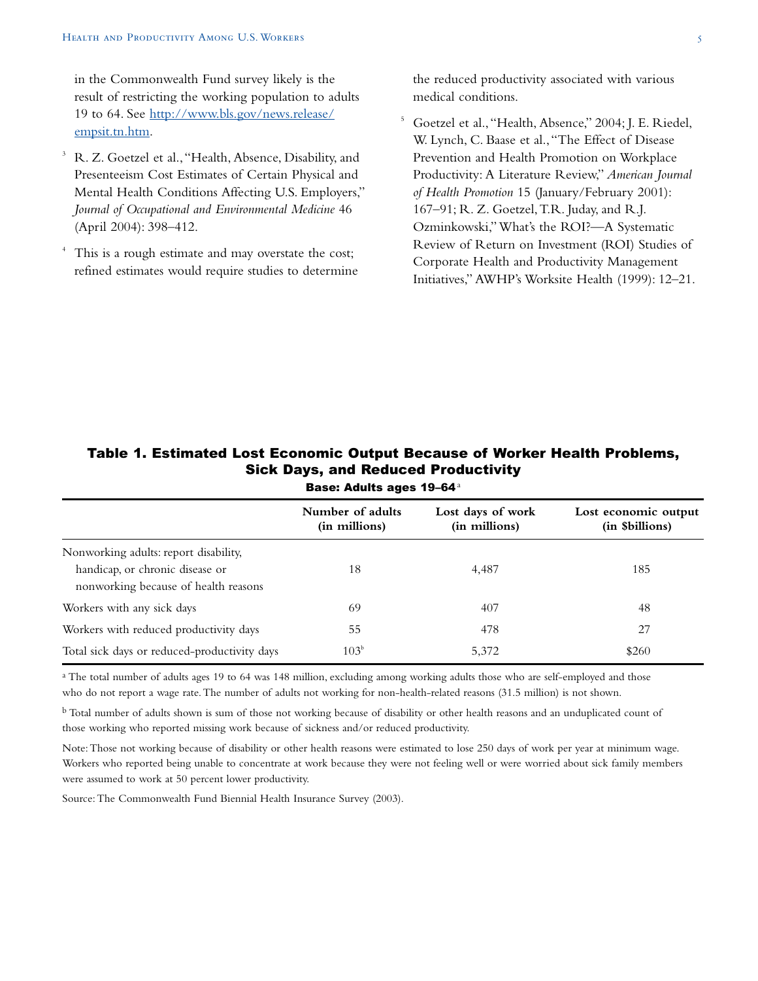in the Commonwealth Fund survey likely is the result of restricting the working population to adults 19 to 64. See [http://www.bls.gov/news.release/](http://www.bls.gov/news.release/empsit.tn.htm) [empsit.tn.htm.](http://www.bls.gov/news.release/empsit.tn.htm)

- <sup>3</sup> R. Z. Goetzel et al.,"Health, Absence, Disability, and Presenteeism Cost Estimates of Certain Physical and Mental Health Conditions Affecting U.S. Employers," *Journal of Occupational and Environmental Medicine* 46 (April 2004): 398–412.
- This is a rough estimate and may overstate the cost; refined estimates would require studies to determine

the reduced productivity associated with various medical conditions.

<sup>5</sup> Goetzel et al.,"Health, Absence," 2004; J. E. Riedel, W. Lynch, C. Baase et al.,"The Effect of Disease Prevention and Health Promotion on Workplace Productivity: A Literature Review," *American Journal of Health Promotion* 15 (January/February 2001): 167–91; R. Z. Goetzel,T.R. Juday, and R.J. Ozminkowski,"What's the ROI?—A Systematic Review of Return on Investment (ROI) Studies of Corporate Health and Productivity Management Initiatives," AWHP's Worksite Health (1999): 12–21.

|                                                                         | <b>Base: Adults ages 19-64</b> <sup>a</sup> |                                    |                                        |  |  |  |
|-------------------------------------------------------------------------|---------------------------------------------|------------------------------------|----------------------------------------|--|--|--|
|                                                                         | Number of adults<br>(in millions)           | Lost days of work<br>(in millions) | Lost economic output<br>(in Sbillions) |  |  |  |
| Nonworking adults: report disability,                                   |                                             |                                    |                                        |  |  |  |
| handicap, or chronic disease or<br>nonworking because of health reasons | 18                                          | 4,487                              | 185                                    |  |  |  |
| Workers with any sick days                                              | 69                                          | 407                                | 48                                     |  |  |  |
| Workers with reduced productivity days                                  | 55                                          | 478                                | 27                                     |  |  |  |
| Total sick days or reduced-productivity days                            | 103 <sup>b</sup>                            | 5.372                              | \$260                                  |  |  |  |

# Table 1. Estimated Lost Economic Output Because of Worker Health Problems, Sick Days, and Reduced Productivity

<sup>a</sup> The total number of adults ages 19 to 64 was 148 million, excluding among working adults those who are self-employed and those who do not report a wage rate.The number of adults not working for non-health-related reasons (31.5 million) is not shown.

b Total number of adults shown is sum of those not working because of disability or other health reasons and an unduplicated count of those working who reported missing work because of sickness and/or reduced productivity.

Note:Those not working because of disability or other health reasons were estimated to lose 250 days of work per year at minimum wage. Workers who reported being unable to concentrate at work because they were not feeling well or were worried about sick family members were assumed to work at 50 percent lower productivity.

Source:The Commonwealth Fund Biennial Health Insurance Survey (2003).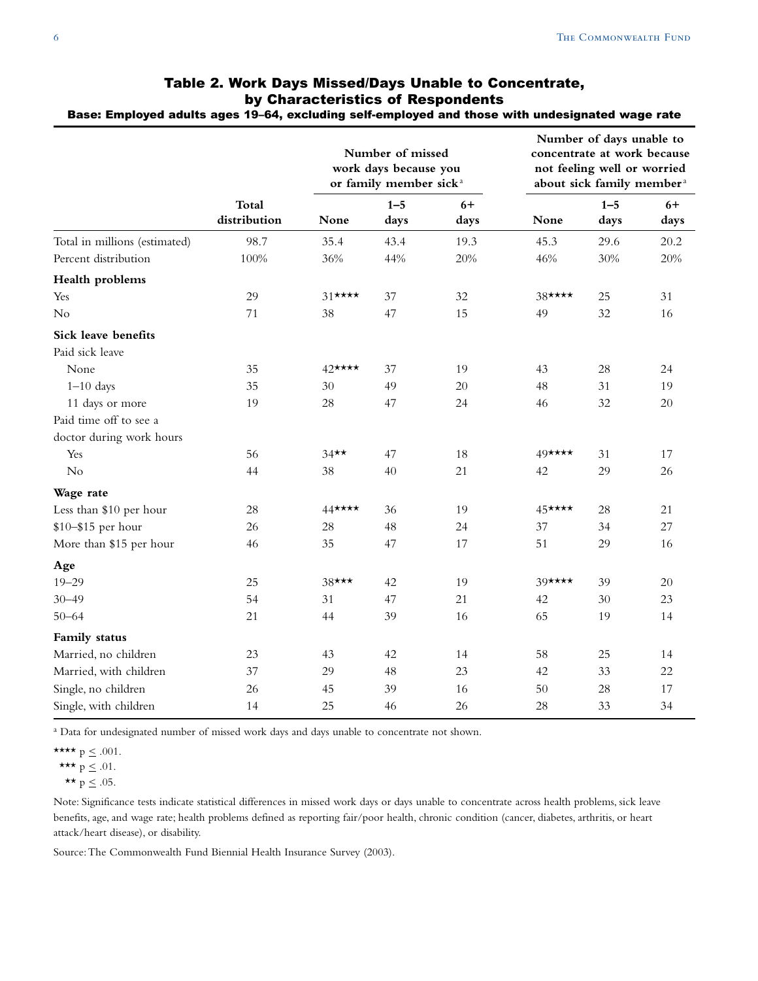|                                        | <b>Total</b><br>distribution | Number of missed<br>work days because you<br>or family member sick <sup>a</sup> |                 |              | Number of days unable to<br>concentrate at work because<br>not feeling well or worried<br>about sick family member <sup>a</sup> |                 |              |
|----------------------------------------|------------------------------|---------------------------------------------------------------------------------|-----------------|--------------|---------------------------------------------------------------------------------------------------------------------------------|-----------------|--------------|
|                                        |                              | None                                                                            | $1 - 5$<br>days | $6+$<br>days | None                                                                                                                            | $1 - 5$<br>days | $6+$<br>days |
| Total in millions (estimated)          | 98.7                         | 35.4                                                                            | 43.4            | 19.3         | 45.3                                                                                                                            | 29.6            | 20.2         |
| Percent distribution                   | 100%                         | 36%                                                                             | 44%             | 20%          | 46%                                                                                                                             | 30%             | 20%          |
| Health problems                        |                              |                                                                                 |                 |              |                                                                                                                                 |                 |              |
| Yes                                    | 29                           | $31***$                                                                         | 37              | 32           | $38$ ****                                                                                                                       | 25              | 31           |
| No                                     | 71                           | 38                                                                              | 47              | 15           | 49                                                                                                                              | 32              | 16           |
| Sick leave benefits<br>Paid sick leave |                              |                                                                                 |                 |              |                                                                                                                                 |                 |              |
| None                                   | 35                           | 42****                                                                          | 37              | 19           | 43                                                                                                                              | 28              | 24           |
| $1-10$ days                            | 35                           | 30                                                                              | 49              | 20           | 48                                                                                                                              | 31              | 19           |
| 11 days or more                        | 19                           | 28                                                                              | 47              | 24           | 46                                                                                                                              | 32              | 20           |
| Paid time off to see a                 |                              |                                                                                 |                 |              |                                                                                                                                 |                 |              |
| doctor during work hours               |                              |                                                                                 |                 |              |                                                                                                                                 |                 |              |
| Yes                                    | 56                           | $34**$                                                                          | 47              | 18           | 49****                                                                                                                          | 31              | 17           |
| No                                     | 44                           | 38                                                                              | 40              | 21           | 42                                                                                                                              | 29              | 26           |
| Wage rate                              |                              |                                                                                 |                 |              |                                                                                                                                 |                 |              |
| Less than \$10 per hour                | 28                           | $44 \star \star \star \star$                                                    | 36              | 19           | 45****                                                                                                                          | 28              | 21           |
| \$10-\$15 per hour                     | 26                           | 28                                                                              | 48              | 24           | 37                                                                                                                              | 34              | 27           |
| More than \$15 per hour                | 46                           | 35                                                                              | 47              | 17           | 51                                                                                                                              | 29              | 16           |
| Age                                    |                              |                                                                                 |                 |              |                                                                                                                                 |                 |              |
| $19 - 29$                              | 25                           | $38***$                                                                         | 42              | 19           | $39 \star \star \star \star$                                                                                                    | 39              | 20           |
| $30 - 49$                              | 54                           | 31                                                                              | 47              | 21           | 42                                                                                                                              | 30              | 23           |
| $50 - 64$                              | 21                           | 44                                                                              | 39              | 16           | 65                                                                                                                              | 19              | 14           |
| Family status                          |                              |                                                                                 |                 |              |                                                                                                                                 |                 |              |
| Married, no children                   | 23                           | 43                                                                              | 42              | 14           | 58                                                                                                                              | 25              | 14           |
| Married, with children                 | 37                           | 29                                                                              | 48              | 23           | 42                                                                                                                              | 33              | 22           |
| Single, no children                    | 26                           | 45                                                                              | 39              | 16           | 50                                                                                                                              | 28              | 17           |
| Single, with children                  | 14                           | 25                                                                              | 46              | 26           | 28                                                                                                                              | 33              | 34           |

## Table 2. Work Days Missed/Days Unable to Concentrate, by Characteristics of Respondents Base: Employed adults ages 19–64, excluding self-employed and those with undesignated wage rate

a Data for undesignated number of missed work days and days unable to concentrate not shown.

Note: Significance tests indicate statistical differences in missed work days or days unable to concentrate across health problems, sick leave benefits, age, and wage rate; health problems defined as reporting fair/poor health, chronic condition (cancer, diabetes, arthritis, or heart attack/heart disease), or disability.

Source:The Commonwealth Fund Biennial Health Insurance Survey (2003).

<sup>\*\*\*\*</sup>  $p \le .001$ .

<sup>\*\*\*</sup>  $p \le .01$ .

<sup>\*\*</sup>  $p \le .05$ .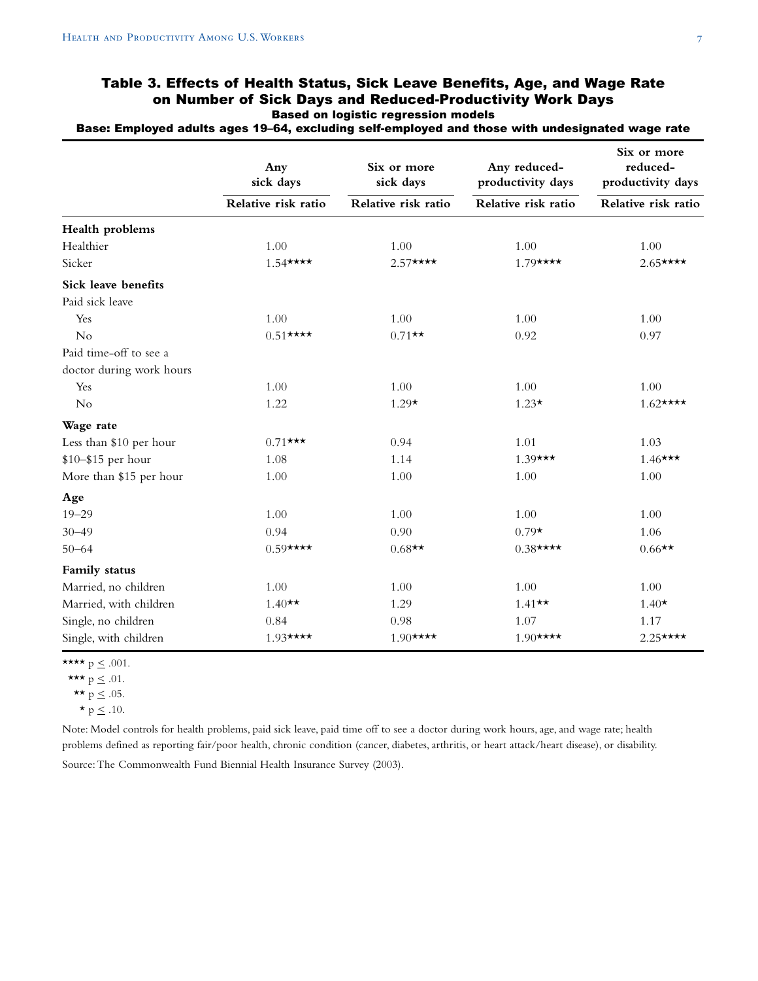|                          | Any<br>sick days    | Six or more<br>sick days | Any reduced-<br>productivity days | Six or more<br>reduced-<br>productivity days |  |  |
|--------------------------|---------------------|--------------------------|-----------------------------------|----------------------------------------------|--|--|
|                          | Relative risk ratio | Relative risk ratio      | Relative risk ratio               | Relative risk ratio                          |  |  |
| Health problems          |                     |                          |                                   |                                              |  |  |
| Healthier                | 1.00                | 1.00                     | 1.00                              | 1.00                                         |  |  |
| Sicker                   | $1.54***$           | $2.57$ ****              | $1.79***$                         | $2.65***$                                    |  |  |
| Sick leave benefits      |                     |                          |                                   |                                              |  |  |
| Paid sick leave          |                     |                          |                                   |                                              |  |  |
| Yes                      | 1.00                | 1.00                     | 1.00                              | 1.00                                         |  |  |
| N <sub>o</sub>           | $0.51$ ****         | $0.71**$                 | 0.92                              | 0.97                                         |  |  |
| Paid time-off to see a   |                     |                          |                                   |                                              |  |  |
| doctor during work hours |                     |                          |                                   |                                              |  |  |
| Yes                      | 1.00                | 1.00                     | 1.00                              | 1.00                                         |  |  |
| No                       | 1.22                | $1.29*$                  | $1.23*$                           | $1.62$ ****                                  |  |  |
| Wage rate                |                     |                          |                                   |                                              |  |  |
| Less than \$10 per hour  | $0.71$ ***          | 0.94                     | 1.01                              | 1.03                                         |  |  |
| \$10-\$15 per hour       | 1.08                | 1.14                     | $1.39***$                         | $1.46***$                                    |  |  |
| More than \$15 per hour  | 1.00                | 1.00                     | 1.00                              | 1.00                                         |  |  |
| Age                      |                     |                          |                                   |                                              |  |  |
| $19 - 29$                | 1.00                | 1.00                     | 1.00                              | 1.00                                         |  |  |
| $30 - 49$                | 0.94                | 0.90                     | $0.79*$                           | 1.06                                         |  |  |
| $50 - 64$                | $0.59$ ****         | $0.68**$                 | $0.38$ ****                       | $0.66**$                                     |  |  |
| Family status            |                     |                          |                                   |                                              |  |  |
| Married, no children     | 1.00                | 1.00                     | 1.00                              | 1.00                                         |  |  |
| Married, with children   | $1.40**$            | 1.29                     | $1.41**$                          | $1.40*$                                      |  |  |
| Single, no children      | 0.84                | 0.98                     | 1.07                              | 1.17                                         |  |  |
| Single, with children    | $1.93***$           | $1.90***$                | $1.90***$                         | $2.25***$                                    |  |  |

## Table 3. Effects of Health Status, Sick Leave Benefits, Age, and Wage Rate on Number of Sick Days and Reduced-Productivity Work Days Based on logistic regression models

Base: Employed adults ages 19–64, excluding self-employed and those with undesignated wage rate

\*\*\*\*  $p \le .001$ .

\*\*\*  $p \le .01$ .

 $\star\star$  p  $\leq$  .05.

 $\star$  p  $\leq$  .10.

Note: Model controls for health problems, paid sick leave, paid time off to see a doctor during work hours, age, and wage rate; health problems defined as reporting fair/poor health, chronic condition (cancer, diabetes, arthritis, or heart attack/heart disease), or disability.

Source:The Commonwealth Fund Biennial Health Insurance Survey (2003).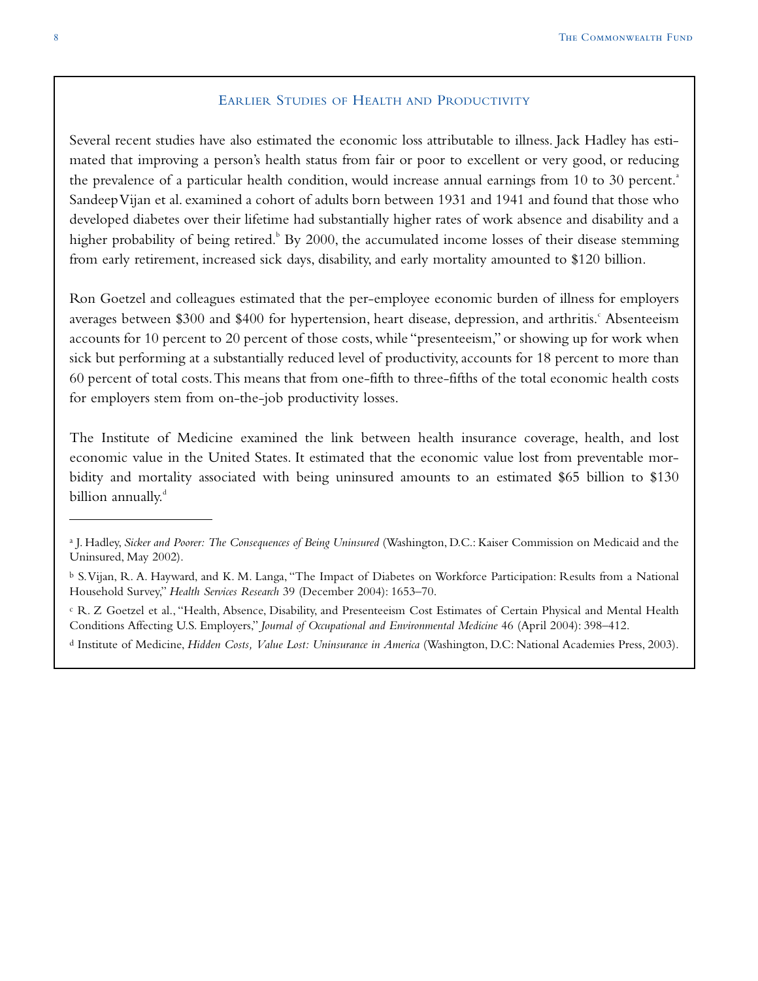#### EARLIER STUDIES OF HEALTH AND PRODUCTIVITY

Several recent studies have also estimated the economic loss attributable to illness. Jack Hadley has estimated that improving a person's health status from fair or poor to excellent or very good, or reducing the prevalence of a particular health condition, would increase annual earnings from 10 to 30 percent.<sup>a</sup> Sandeep Vijan et al. examined a cohort of adults born between 1931 and 1941 and found that those who developed diabetes over their lifetime had substantially higher rates of work absence and disability and a higher probability of being retired.<sup>b</sup> By 2000, the accumulated income losses of their disease stemming from early retirement, increased sick days, disability, and early mortality amounted to \$120 billion.

Ron Goetzel and colleagues estimated that the per-employee economic burden of illness for employers averages between \$300 and \$400 for hypertension, heart disease, depression, and arthritis. Absenteeism accounts for 10 percent to 20 percent of those costs, while "presenteeism," or showing up for work when sick but performing at a substantially reduced level of productivity, accounts for 18 percent to more than 60 percent of total costs.This means that from one-fifth to three-fifths of the total economic health costs for employers stem from on-the-job productivity losses.

The Institute of Medicine examined the link between health insurance coverage, health, and lost economic value in the United States. It estimated that the economic value lost from preventable morbidity and mortality associated with being uninsured amounts to an estimated \$65 billion to \$130 billion annually.<sup>d</sup>

<sup>a</sup> J. Hadley, *Sicker and Poorer: The Consequences of Being Uninsured* (Washington, D.C.: Kaiser Commission on Medicaid and the Uninsured, May 2002).

<sup>b</sup> S.Vijan, R. A. Hayward, and K. M. Langa, "The Impact of Diabetes on Workforce Participation: Results from a National Household Survey," *Health Services Research* 39 (December 2004): 1653–70.

<sup>c</sup> R. Z Goetzel et al., "Health, Absence, Disability, and Presenteeism Cost Estimates of Certain Physical and Mental Health Conditions Affecting U.S. Employers," *Journal of Occupational and Environmental Medicine* 46 (April 2004): 398–412.

<sup>d</sup> Institute of Medicine, *Hidden Costs, Value Lost: Uninsurance in America* (Washington, D.C: National Academies Press, 2003).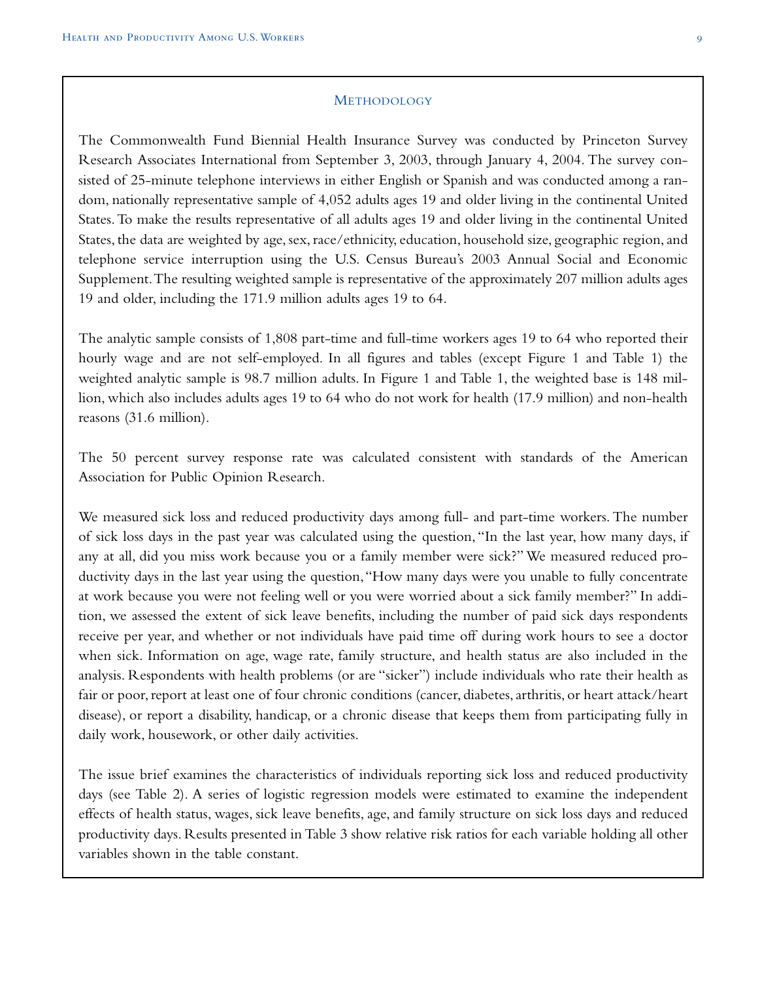#### METHODOLOGY

The Commonwealth Fund Biennial Health Insurance Survey was conducted by Princeton Survey Research Associates International from September 3, 2003, through January 4, 2004. The survey consisted of 25-minute telephone interviews in either English or Spanish and was conducted among a random, nationally representative sample of 4,052 adults ages 19 and older living in the continental United States.To make the results representative of all adults ages 19 and older living in the continental United States, the data are weighted by age, sex, race/ethnicity, education, household size, geographic region, and telephone service interruption using the U.S. Census Bureau's 2003 Annual Social and Economic Supplement.The resulting weighted sample is representative of the approximately 207 million adults ages 19 and older, including the 171.9 million adults ages 19 to 64.

The analytic sample consists of 1,808 part-time and full-time workers ages 19 to 64 who reported their hourly wage and are not self-employed. In all figures and tables (except Figure 1 and Table 1) the weighted analytic sample is 98.7 million adults. In Figure 1 and Table 1, the weighted base is 148 million, which also includes adults ages 19 to 64 who do not work for health (17.9 million) and non-health reasons (31.6 million).

The 50 percent survey response rate was calculated consistent with standards of the American Association for Public Opinion Research.

We measured sick loss and reduced productivity days among full- and part-time workers. The number of sick loss days in the past year was calculated using the question, "In the last year, how many days, if any at all, did you miss work because you or a family member were sick?" We measured reduced productivity days in the last year using the question,"How many days were you unable to fully concentrate at work because you were not feeling well or you were worried about a sick family member?" In addition, we assessed the extent of sick leave benefits, including the number of paid sick days respondents receive per year, and whether or not individuals have paid time off during work hours to see a doctor when sick. Information on age, wage rate, family structure, and health status are also included in the analysis. Respondents with health problems (or are "sicker") include individuals who rate their health as fair or poor, report at least one of four chronic conditions (cancer, diabetes, arthritis, or heart attack/heart disease), or report a disability, handicap, or a chronic disease that keeps them from participating fully in daily work, housework, or other daily activities.

The issue brief examines the characteristics of individuals reporting sick loss and reduced productivity days (see Table 2). A series of logistic regression models were estimated to examine the independent effects of health status, wages, sick leave benefits, age, and family structure on sick loss days and reduced productivity days. Results presented in Table 3 show relative risk ratios for each variable holding all other variables shown in the table constant.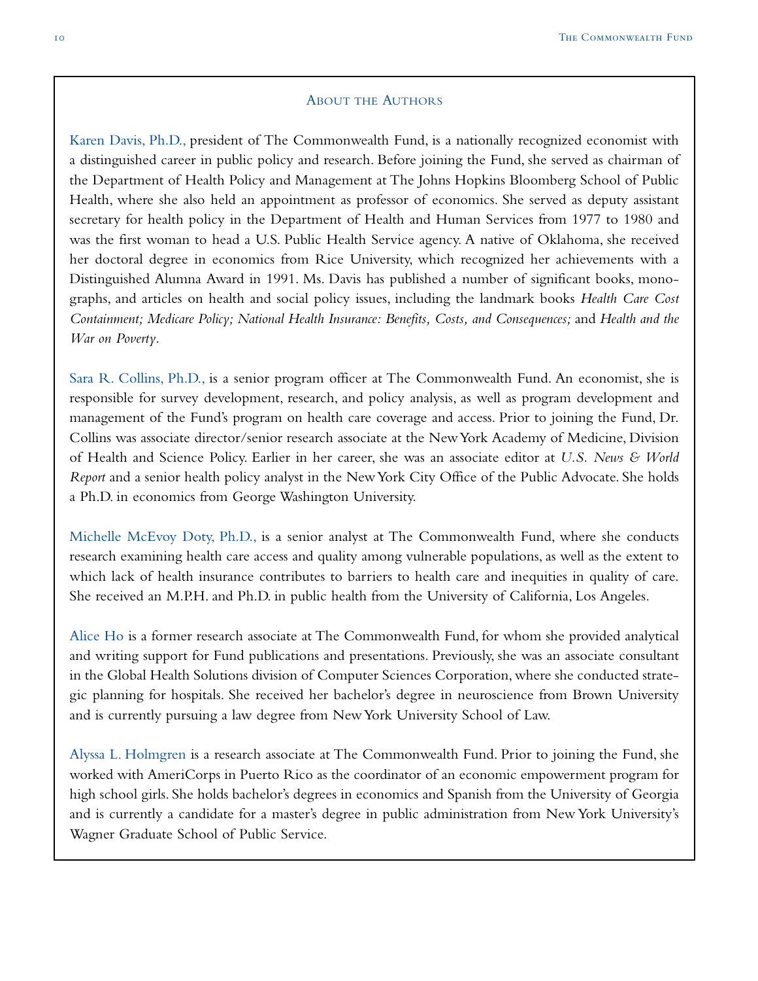#### ABOUT THE AUTHORS

Karen Davis, Ph.D., president of The Commonwealth Fund, is a nationally recognized economist with a distinguished career in public policy and research. Before joining the Fund, she served as chairman of the Department of Health Policy and Management at The Johns Hopkins Bloomberg School of Public Health, where she also held an appointment as professor of economics. She served as deputy assistant secretary for health policy in the Department of Health and Human Services from 1977 to 1980 and was the first woman to head a U.S. Public Health Service agency. A native of Oklahoma, she received her doctoral degree in economics from Rice University, which recognized her achievements with a Distinguished Alumna Award in 1991. Ms. Davis has published a number of significant books, monographs, and articles on health and social policy issues, including the landmark books *Health Care Cost Containment; Medicare Policy; National Health Insurance: Benefits, Costs, and Consequences;* and *Health and the War on Poverty.*

Sara R. Collins, Ph.D., is a senior program officer at The Commonwealth Fund. An economist, she is responsible for survey development, research, and policy analysis, as well as program development and management of the Fund's program on health care coverage and access. Prior to joining the Fund, Dr. Collins was associate director/senior research associate at the New York Academy of Medicine, Division of Health and Science Policy. Earlier in her career, she was an associate editor at *U.S. News & World Report* and a senior health policy analyst in the New York City Office of the Public Advocate. She holds a Ph.D. in economics from George Washington University.

Michelle McEvoy Doty, Ph.D., is a senior analyst at The Commonwealth Fund, where she conducts research examining health care access and quality among vulnerable populations, as well as the extent to which lack of health insurance contributes to barriers to health care and inequities in quality of care. She received an M.P.H. and Ph.D. in public health from the University of California, Los Angeles.

Alice Ho is a former research associate at The Commonwealth Fund, for whom she provided analytical and writing support for Fund publications and presentations. Previously, she was an associate consultant in the Global Health Solutions division of Computer Sciences Corporation, where she conducted strategic planning for hospitals. She received her bachelor's degree in neuroscience from Brown University and is currently pursuing a law degree from New York University School of Law.

Alyssa L. Holmgren is a research associate at The Commonwealth Fund. Prior to joining the Fund, she worked with AmeriCorps in Puerto Rico as the coordinator of an economic empowerment program for high school girls. She holds bachelor's degrees in economics and Spanish from the University of Georgia and is currently a candidate for a master's degree in public administration from New York University's Wagner Graduate School of Public Service.